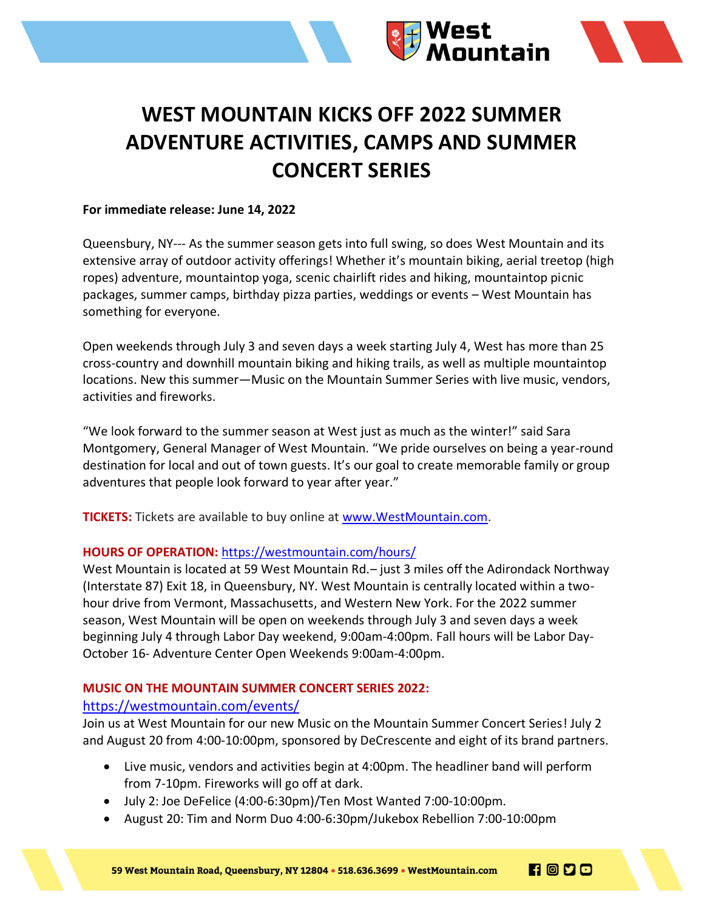

# **WEST MOUNTAIN KICKS OFF 2022 SUMMER ADVENTURE ACTIVITIES, CAMPS AND SUMMER CONCERT SERIES**

### **For immediate release: June 14, 2022**

Queensbury, NY--- As the summer season gets into full swing, so does West Mountain and its extensive array of outdoor activity offerings! Whether it's mountain biking, aerial treetop (high ropes) adventure, mountaintop yoga, scenic chairlift rides and hiking, mountaintop picnic packages, summer camps, birthday pizza parties, weddings or events – West Mountain has something for everyone.

Open weekends through July 3 and seven days a week starting July 4, West has more than 25 cross-country and downhill mountain biking and hiking trails, as well as multiple mountaintop locations. New this summer—Music on the Mountain Summer Series with live music, vendors, activities and fireworks.

"We look forward to the summer season at West just as much as the winter!" said Sara Montgomery, General Manager of West Mountain. "We pride ourselves on being a year-round destination for local and out of town guests. It's our goal to create memorable family or group adventures that people look forward to year after year."

**TICKETS:** Tickets are available to buy online at [www.WestMountain.com.](about:blank)

## **HOURS OF OPERATION:** <https://westmountain.com/hours/>

West Mountain is located at 59 West Mountain Rd.– just 3 miles off the Adirondack Northway (Interstate 87) Exit 18, in Queensbury, NY. West Mountain is centrally located within a twohour drive from Vermont, Massachusetts, and Western New York. For the 2022 summer season, West Mountain will be open on weekends through July 3 and seven days a week beginning July 4 through Labor Day weekend, 9:00am-4:00pm. Fall hours will be Labor Day-October 16- Adventure Center Open Weekends 9:00am-4:00pm.

## **MUSIC ON THE MOUNTAIN SUMMER CONCERT SERIES 2022:**

## <https://westmountain.com/events/>

Join us at West Mountain for our new Music on the Mountain Summer Concert Series! July 2 and August 20 from 4:00-10:00pm, sponsored by DeCrescente and eight of its brand partners.

- Live music, vendors and activities begin at 4:00pm. The headliner band will perform from 7-10pm. Fireworks will go off at dark.
- July 2: Joe DeFelice (4:00-6:30pm)/Ten Most Wanted 7:00-10:00pm.
- August 20: Tim and Norm Duo 4:00-6:30pm/Jukebox Rebellion 7:00-10:00pm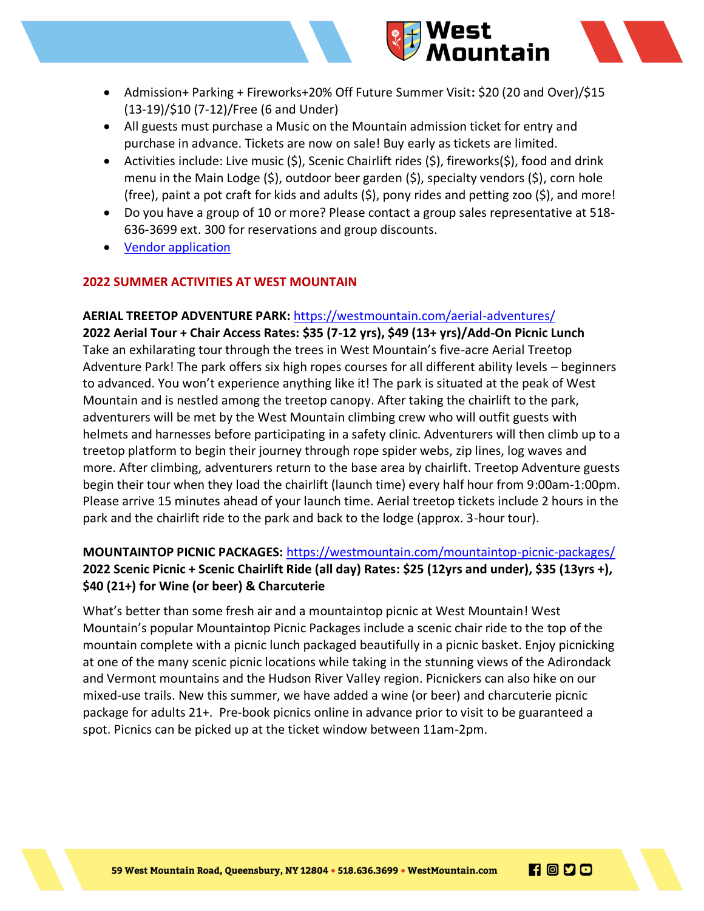

- Admission+ Parking + Fireworks+20% Off Future Summer Visit**:** \$20 (20 and Over)/\$15 (13-19)/\$10 (7-12)/Free (6 and Under)
- All guests must purchase a Music on the Mountain admission ticket for entry and purchase in advance. Tickets are now on sale! Buy early as tickets are limited.
- Activities include: Live music  $(\xi)$ , Scenic Chairlift rides  $(\xi)$ , fireworks $(\xi)$ , food and drink menu in the Main Lodge (\$), outdoor beer garden (\$), specialty vendors (\$), corn hole (free), paint a pot craft for kids and adults (\$), pony rides and petting zoo (\$), and more!
- Do you have a group of 10 or more? Please contact a group sales representative at 518- 636-3699 ext. 300 for reservations and group discounts.
- [Vendor application](https://westmountain.com/wp-content/uploads/2022/05/Music-on-the-Mountain-Vendor-application-2022-final.pdf)

## **2022 SUMMER ACTIVITIES AT WEST MOUNTAIN**

## **AERIAL TREETOP ADVENTURE PARK:** <https://westmountain.com/aerial-adventures/>

**2022 Aerial Tour + Chair Access Rates: \$35 (7-12 yrs), \$49 (13+ yrs)/Add-On Picnic Lunch**  Take an exhilarating tour through the trees in West Mountain's five-acre Aerial Treetop Adventure Park! The park offers six high ropes courses for all different ability levels – beginners to advanced. You won't experience anything like it! The park is situated at the peak of West Mountain and is nestled among the treetop canopy. After taking the chairlift to the park, adventurers will be met by the West Mountain climbing crew who will outfit guests with helmets and harnesses before participating in a safety clinic. Adventurers will then climb up to a treetop platform to begin their journey through rope spider webs, zip lines, log waves and more. After climbing, adventurers return to the base area by chairlift. Treetop Adventure guests begin their tour when they load the chairlift (launch time) every half hour from 9:00am-1:00pm. Please arrive 15 minutes ahead of your launch time. Aerial treetop tickets include 2 hours in the park and the chairlift ride to the park and back to the lodge (approx. 3-hour tour).

# **MOUNTAINTOP PICNIC PACKAGES:** <https://westmountain.com/mountaintop-picnic-packages/> **2022 Scenic Picnic + Scenic Chairlift Ride (all day) Rates: \$25 (12yrs and under), \$35 (13yrs +), \$40 (21+) for Wine (or beer) & Charcuterie**

What's better than some fresh air and a mountaintop picnic at West Mountain! West Mountain's popular Mountaintop Picnic Packages include a scenic chair ride to the top of the mountain complete with a picnic lunch packaged beautifully in a picnic basket. Enjoy picnicking at one of the many scenic picnic locations while taking in the stunning views of the Adirondack and Vermont mountains and the Hudson River Valley region. Picnickers can also hike on our mixed-use trails. New this summer, we have added a wine (or beer) and charcuterie picnic package for adults 21+. Pre-book picnics online in advance prior to visit to be guaranteed a spot. Picnics can be picked up at the ticket window between 11am-2pm.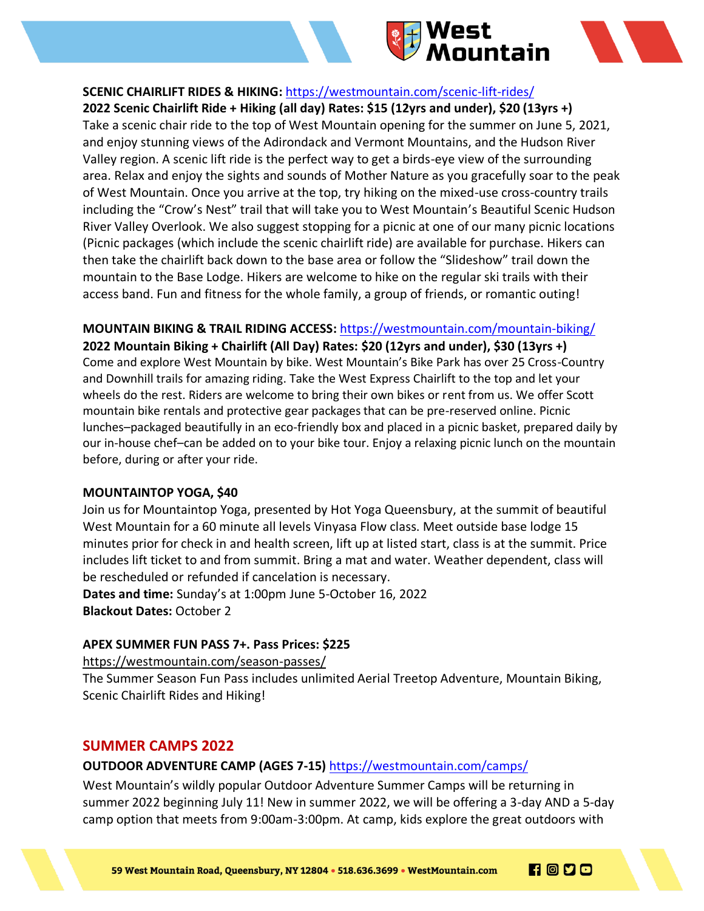

## **SCENIC CHAIRLIFT RIDES & HIKING:** <https://westmountain.com/scenic-lift-rides/>

**2022 Scenic Chairlift Ride + Hiking (all day) Rates: \$15 (12yrs and under), \$20 (13yrs +)** Take a scenic chair ride to the top of West Mountain opening for the summer on June 5, 2021, and enjoy stunning views of the Adirondack and Vermont Mountains, and the Hudson River Valley region. A scenic lift ride is the perfect way to get a birds-eye view of the surrounding area. Relax and enjoy the sights and sounds of Mother Nature as you gracefully soar to the peak of West Mountain. Once you arrive at the top, try hiking on the mixed-use cross-country trails including the "Crow's Nest" trail that will take you to West Mountain's Beautiful Scenic Hudson River Valley Overlook. We also suggest stopping for a picnic at one of our many picnic locations (Picnic packages (which include the scenic chairlift ride) are available for purchase. Hikers can then take the chairlift back down to the base area or follow the "Slideshow" trail down the mountain to the Base Lodge. Hikers are welcome to hike on the regular ski trails with their access band. Fun and fitness for the whole family, a group of friends, or romantic outing!

## **MOUNTAIN BIKING & TRAIL RIDING ACCESS:** <https://westmountain.com/mountain-biking/>

**2022 Mountain Biking + Chairlift (All Day) Rates: \$20 (12yrs and under), \$30 (13yrs +)** Come and explore West Mountain by bike. West Mountain's Bike Park has over 25 Cross-Country and Downhill trails for amazing riding. Take the West Express Chairlift to the top and let your wheels do the rest. Riders are welcome to bring their own bikes or rent from us. We offer Scott mountain bike rentals and protective gear packages that can be pre-reserved online. Picnic lunches–packaged beautifully in an eco-friendly box and placed in a picnic basket, prepared daily by our in-house chef–can be added on to your bike tour. Enjoy a relaxing picnic lunch on the mountain before, during or after your ride.

#### **MOUNTAINTOP YOGA, \$40**

Join us for Mountaintop Yoga, presented by Hot Yoga Queensbury, at the summit of beautiful West Mountain for a 60 minute all levels Vinyasa Flow class. Meet outside base lodge 15 minutes prior for check in and health screen, lift up at listed start, class is at the summit. Price includes lift ticket to and from summit. Bring a mat and water. Weather dependent, class will be rescheduled or refunded if cancelation is necessary.

**Dates and time:** Sunday's at 1:00pm June 5-October 16, 2022 **Blackout Dates:** October 2

## **APEX SUMMER FUN PASS 7+. Pass Prices: \$225**

[https://westmountain.com/season-passes/](about:blank)

The Summer Season Fun Pass includes unlimited Aerial Treetop Adventure, Mountain Biking, Scenic Chairlift Rides and Hiking!

# **SUMMER CAMPS 2022**

## **OUTDOOR ADVENTURE CAMP (AGES 7-15)** <https://westmountain.com/camps/>

West Mountain's wildly popular Outdoor Adventure Summer Camps will be returning in summer 2022 beginning July 11! New in summer 2022, we will be offering a 3-day AND a 5-day camp option that meets from 9:00am-3:00pm. At camp, kids explore the great outdoors with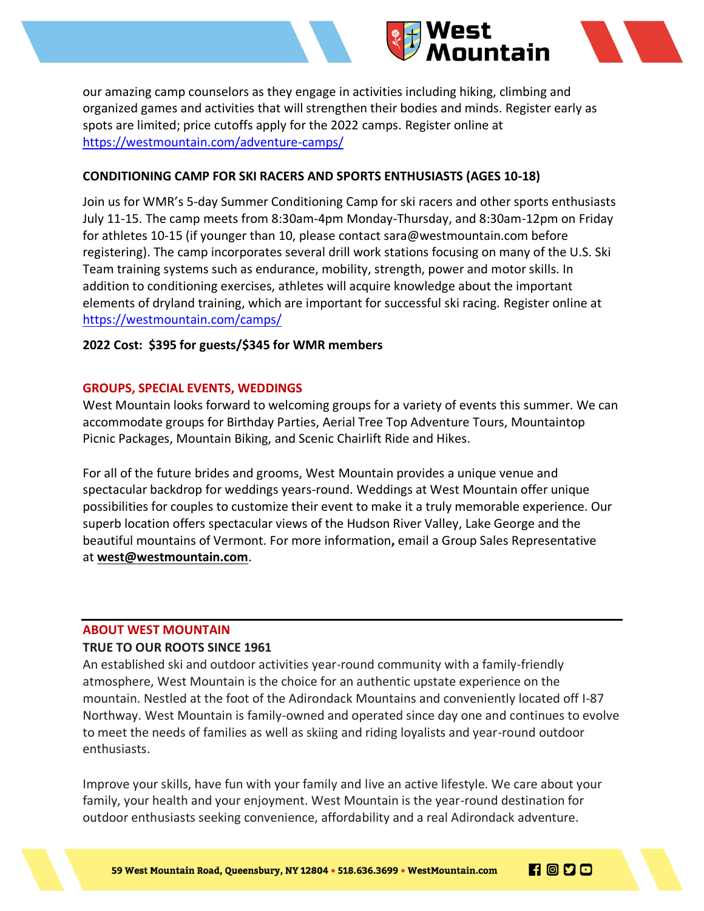

our amazing camp counselors as they engage in activities including hiking, climbing and organized games and activities that will strengthen their bodies and minds. Register early as spots are limited; price cutoffs apply for the 2022 camps. Register online at [https://westmountain.com/adventure-camps/](about:blank)

## **CONDITIONING CAMP FOR SKI RACERS AND SPORTS ENTHUSIASTS (AGES 10-18)**

Join us for WMR's 5-day Summer Conditioning Camp for ski racers and other sports enthusiasts July 11-15. The camp meets from 8:30am-4pm Monday-Thursday, and 8:30am-12pm on Friday for athletes 10-15 (if younger than 10, please contact sara@westmountain.com before registering). The camp incorporates several drill work stations focusing on many of the U.S. Ski Team training systems such as endurance, mobility, strength, power and motor skills. In addition to conditioning exercises, athletes will acquire knowledge about the important elements of dryland training, which are important for successful ski racing. Register online at <https://westmountain.com/camps/>

## **2022 Cost: \$395 for guests/\$345 for WMR members**

## **GROUPS, SPECIAL EVENTS, WEDDINGS**

West Mountain looks forward to welcoming groups for a variety of events this summer. We can accommodate groups for Birthday Parties, Aerial Tree Top Adventure Tours, Mountaintop Picnic Packages, Mountain Biking, and Scenic Chairlift Ride and Hikes.

For all of the future brides and grooms, West Mountain provides a unique venue and spectacular backdrop for weddings years-round. Weddings at West Mountain offer unique possibilities for couples to customize their event to make it a truly memorable experience. Our superb location offers spectacular views of the Hudson River Valley, Lake George and the beautiful mountains of Vermont. For more information**,** email a Group Sales Representative at **[west@westmountain.com](mailto:west@westmountain.com)**.

## **ABOUT WEST MOUNTAIN**

## **TRUE TO OUR ROOTS SINCE 1961**

An established ski and outdoor activities year-round community with a family-friendly atmosphere, West Mountain is the choice for an authentic upstate experience on the mountain. Nestled at the foot of the Adirondack Mountains and conveniently located off I-87 Northway. West Mountain is family-owned and operated since day one and continues to evolve to meet the needs of families as well as skiing and riding loyalists and year-round outdoor enthusiasts.

Improve your skills, have fun with your family and live an active lifestyle. We care about your family, your health and your enjoyment. West Mountain is the year-round destination for outdoor enthusiasts seeking convenience, affordability and a real Adirondack adventure.